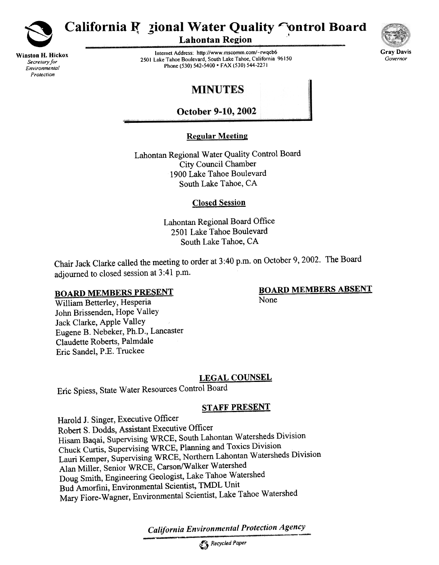

Winston H. Hickox Secretary for Environmental Protection

# California R zional Water Quality Control Board

**Lahontan Region** 

Internet Address: http://wwwmscomm.com/-rwqcb6 2501 Lake Tahoe Boulevard, South Lake Tahoe, California 96150 Phone (530) 542-5400 • FAX (530) 544-2271



## **MINUTES**

**October 9-10, 2002** 

### **Regular Meeting**

Lahontan Regional Water Quality Control Board City Council Chamber 1900 Lake Tahoe Boulevard South Lake Tahoe, CA

#### Closed Session

Lahontan Regional Board Office 2501 Lake Tahoe Boulevard South Lake Tahoe, CA

Chair Jack Clarke called the meeting to order at 3:40 p.m. on October 9, 2002. The Board adjourned to closed session at 3 :41 p.m.

#### **BOARD MEMBERS PRESENT**

#### BOARD MEMBERS ABSENT None

William Betterley, Hesperia John Brissenden, Hope Valley Jack Clarke, Apple Valley Eugene B. Nebeker, Ph.D., Lancaster Claudette Roberts, Palmdale Eric Sandel, P.E. Truckee

#### **LEGAL COUNSEL**

Eric Spiess, State Water Resources Control Board

#### STAFF PRESENT

Harold J. Singer, Executive Officer Robert S. Dodds, Assistant Executive Officer Hisam Baqai, Supervising WRCE, South Lahontan Watersheds Division Chuck Curtis, Supervising WRCE,Planning and Toxics Division Lauri Kemper, Supervising WRCE, Northern Lahontan Watersheds Division Alan Miller, Senior WRCE, Carson/Walker Watershed Doug Smith, Engineering Geologist, Lake Tahoe Watershed Bud Amorfini, Environmental Scientist, TMDL Unit Mary Fiore-Wagner, Environmental Scientist, Lake Tahoe Watershed

California Environmental Protection Agency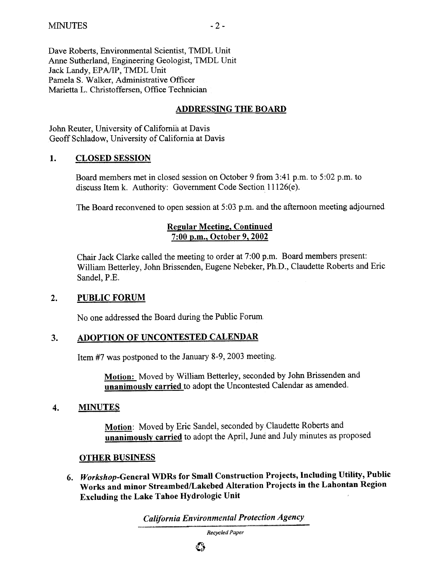Dave Roberts, Environmental Scientist, TMDL Unit Anne Sutherland, Engineering Geologist, TMDL Unit<br>Lock Landy, EBA/IB, TMDL Unit Jack Landy, EPA/IP, TMDL UnIt Pamela S. Walker, Administrative Officer Marietta L. Christoffersen, Office Technician

#### ADDRESSING THE BOARD

John Reuter, University of California at Davis Geoff Schladow, University of California at Davis

#### 1. CLOSED SESSION

Board members met in closed session on October 9 from 3:41 p.m. to 5:02 p.m. to discuss Item k. Authority: Government Code Section 11126(e).

The Board reconvened to open session at 5:03 p.m. and the afternoon meeting adjourned

#### **Regular Meeting, Continued** 7:00 p.m., October 9, 2002

Chair Jack Clarke called the meeting to order at 7:00 p.m. Board members present: William Betterley, John Brissenden, Eugene Nebeker, Ph.D., Claudette Roberts and Eric Sandel, P.E.

#### $2.$ PUBLIC FORUM

No one addressed the Board during the Public Forum

#### ADOPTION OF UNCONTESTED CALENDAR  $3.$

Item #7 was postponed to the January 8-9, 2003 meeting.

Motion: Moved by William Betterley, seconded by John Brissenden and unanimously carried to adopt the Uncontested Calendar as amended.

#### 4. MINUTES

Motion: Moved by Eric Sandel, seconded by Claudette Roberts and unanimously carried to adopt the April, June and July minutes as proposed.

#### OTHER BUSINESS

6. Workshop-General WDRs for Small Construction Projects, Including Utility, Public Works and minor Streambed/Lakebed Alteration Projects in the Lahontan Region Excluding the Lake Tahoe Hydrologic Unit

California Environmental Protection Agency

Recycled Paper

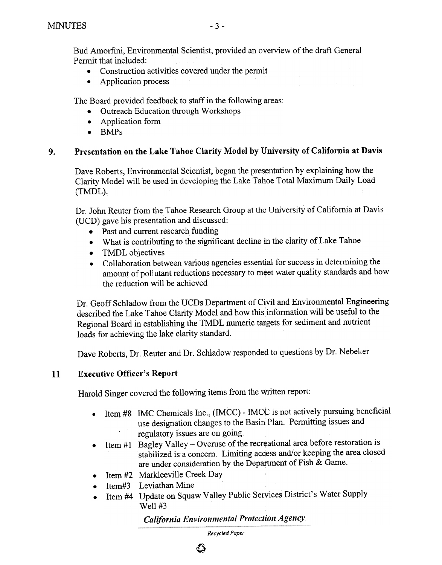- .Construction activities covered under the permit
- Application process

The Board provided feedback to staff in the following areas:

- Outreach Education through Workshops
- Application form
- BMPs

### 9. Presentation on the Lake Tahoe Clarity Model by University of California at Davis

Dave Roberts, Environmental Scientist, began the presentation by explaining how the Clarity Model will be used in developing the Lake Tahoe Total Maximum Daily Load (TMDL),

Dr. John Reuter from the Tahoe Research Group at the University of California at Davis (UCD) gave his presentation and discussed:

- Past and current research funding
- .What is contributing to the significant decline in the clarity of Lake Tahoe
- TMDL objectives
- .Collaboration between various agencies essential for success in determining the amount of pollutant reductions necessary to meet water quality standards and how the reduction will be achieved

Dr. Geoff Schladow from the UCDs Department of Civil and Environmental Engineering described the Lake Tahoe Clarity Model and how this information will be useful to the Regional Board in establishing the TMDL numeric targets for sediment and nutrient loads for achieving the lake clarity standard.

Dave Roberts, Dr. Reuter and Dr. Schladow responded to questions by Dr. Nebeker

### 11 Executive Officer's Report

Harold Singer covered the following items from the written report:

- Item #8 IMC Chemicals Inc., (IMCC) IMCC is not actively pursuing beneficial use designation changes to the Basin Plan. Permitting issues and regulatory issues are on going.
- Item  $#1$  Bagley Valley Overuse of the recreational area before restoration is stabilized is a concern. Limiting access and/or keeping the area closed are under consideration by the Department of Fish  $\&$  Game.
- Item #2 Markleeville Creek Day
- Item#3 Leviathan Mine
- Item #4 Update on Squaw Valley Public Services District's Water Supply Well #3

## California Environmental Protection Agency

Recycled Paper

 $\boldsymbol{\epsilon}$